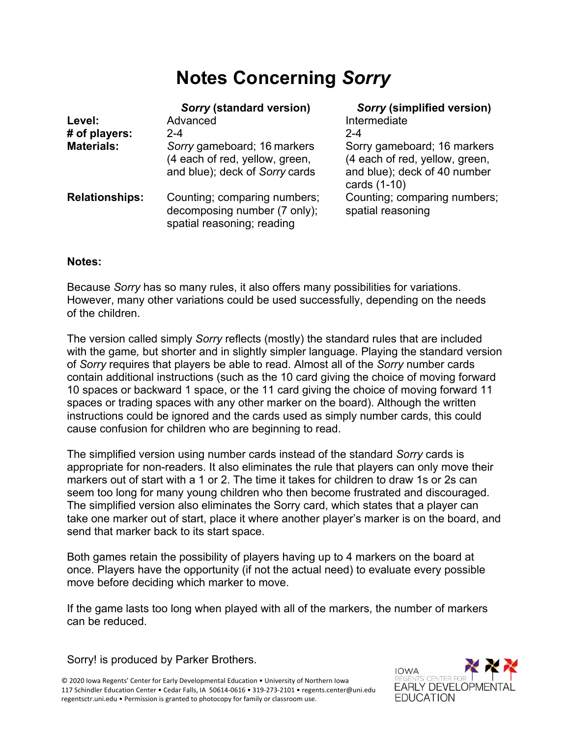# **Notes Concerning** *Sorry*

|                       | Sorry (standard version)                                                                        | <b>Sorry (simplified version)</b>                                                                             |
|-----------------------|-------------------------------------------------------------------------------------------------|---------------------------------------------------------------------------------------------------------------|
| Level:                | Advanced                                                                                        | Intermediate                                                                                                  |
| # of players:         | $2 - 4$                                                                                         | $2 - 4$                                                                                                       |
| <b>Materials:</b>     | Sorry gameboard; 16 markers<br>(4 each of red, yellow, green,<br>and blue); deck of Sorry cards | Sorry gameboard; 16 markers<br>(4 each of red, yellow, green,<br>and blue); deck of 40 number<br>cards (1-10) |
| <b>Relationships:</b> | Counting; comparing numbers;<br>decomposing number (7 only);<br>spatial reasoning; reading      | Counting; comparing numbers;<br>spatial reasoning                                                             |

#### **Notes:**

Because *Sorry* has so many rules, it also offers many possibilities for variations. However, many other variations could be used successfully, depending on the needs of the children.

The version called simply *Sorry* reflects (mostly) the standard rules that are included with the game*,* but shorter and in slightly simpler language. Playing the standard version of *Sorry* requires that players be able to read. Almost all of the *Sorry* number cards contain additional instructions (such as the 10 card giving the choice of moving forward 10 spaces or backward 1 space, or the 11 card giving the choice of moving forward 11 spaces or trading spaces with any other marker on the board). Although the written instructions could be ignored and the cards used as simply number cards, this could cause confusion for children who are beginning to read.

The simplified version using number cards instead of the standard *Sorry* cards is appropriate for non-readers. It also eliminates the rule that players can only move their markers out of start with a 1 or 2. The time it takes for children to draw 1s or 2s can seem too long for many young children who then become frustrated and discouraged. The simplified version also eliminates the Sorry card, which states that a player can take one marker out of start, place it where another player's marker is on the board, and send that marker back to its start space.

Both games retain the possibility of players having up to 4 markers on the board at once. Players have the opportunity (if not the actual need) to evaluate every possible move before deciding which marker to move.

If the game lasts too long when played with all of the markers, the number of markers can be reduced.

Sorry! is produced by Parker Brothers.

© 2020 Iowa Regents' Center for Early Developmental Education • University of Northern Iowa 117 Schindler Education Center • Cedar Falls, IA 50614-0616 • 319-273-2101 • regents.center@uni.edu regentsctr.uni.edu • Permission is granted to photocopy for family or classroom use.

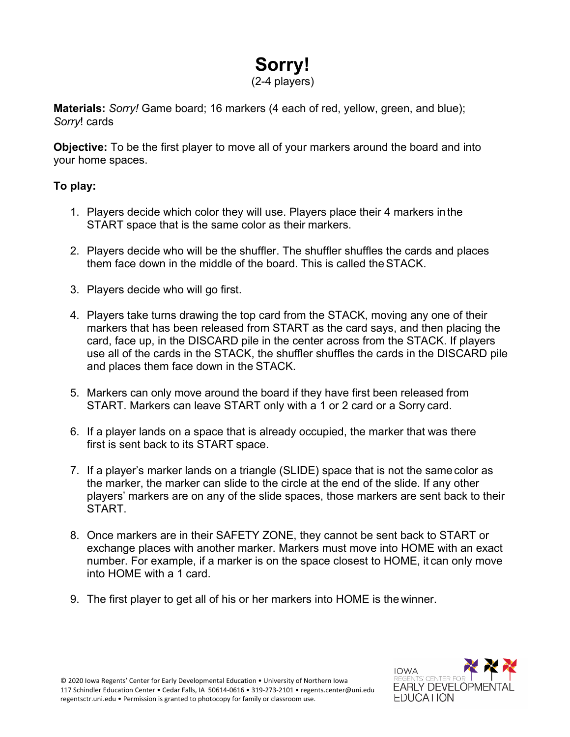# **Sorry!** (2-4 players)

**Materials:** *Sorry!* Game board; 16 markers (4 each of red, yellow, green, and blue); *Sorry*! cards

**Objective:** To be the first player to move all of your markers around the board and into your home spaces.

## **To play:**

- 1. Players decide which color they will use. Players place their 4 markers inthe START space that is the same color as their markers.
- 2. Players decide who will be the shuffler. The shuffler shuffles the cards and places them face down in the middle of the board. This is called theSTACK.
- 3. Players decide who will go first.
- 4. Players take turns drawing the top card from the STACK, moving any one of their markers that has been released from START as the card says, and then placing the card, face up, in the DISCARD pile in the center across from the STACK. If players use all of the cards in the STACK, the shuffler shuffles the cards in the DISCARD pile and places them face down in the STACK.
- 5. Markers can only move around the board if they have first been released from START. Markers can leave START only with a 1 or 2 card or a Sorry card.
- 6. If a player lands on a space that is already occupied, the marker that was there first is sent back to its START space.
- 7. If a player's marker lands on a triangle (SLIDE) space that is not the samecolor as the marker, the marker can slide to the circle at the end of the slide. If any other players' markers are on any of the slide spaces, those markers are sent back to their START.
- 8. Once markers are in their SAFETY ZONE, they cannot be sent back to START or exchange places with another marker. Markers must move into HOME with an exact number. For example, if a marker is on the space closest to HOME, it can only move into HOME with a 1 card.
- 9. The first player to get all of his or her markers into HOME is the winner.